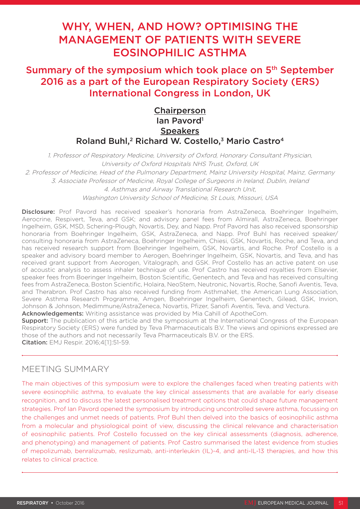# WHY, WHEN, AND HOW? OPTIMISING THE MANAGEMENT OF PATIENTS WITH SEVERE EOSINOPHILIC ASTHMA

# Summary of the symposium which took place on 5<sup>th</sup> September 2016 as a part of the European Respiratory Society (ERS) International Congress in London, UK

# Chairperson Ian Pavord<sup>1</sup> **Speakers** Roland Buhl,<sup>2</sup> Richard W. Costello,<sup>3</sup> Mario Castro<sup>4</sup>

1. Professor of Respiratory Medicine, University of Oxford, Honorary Consultant Physician, University of Oxford Hospitals NHS Trust, Oxford, UK 2. Professor of Medicine, Head of the Pulmonary Department, Mainz University Hospital, Mainz, Germany 3. Associate Professor of Medicine, Royal College of Surgeons in Ireland, Dublin, Ireland 4. Asthmas and Airway Translational Research Unit, Washington University School of Medicine, St Louis, Missouri, USA

Disclosure: Prof Pavord has received speaker's honoraria from AstraZeneca, Boehringer Ingelheim, Aerocrine, Respivert, Teva, and GSK; and advisory panel fees from Almirall, AstraZeneca, Boehringer Ingelheim, GSK, MSD, Schering-Plough, Novartis, Dey, and Napp. Prof Pavord has also received sponsorship honoraria from Boehringer Ingelheim, GSK, AstraZeneca, and Napp. Prof Buhl has received speaker/ consulting honoraria from AstraZeneca, Boehringer Ingelheim, Chiesi, GSK, Novartis, Roche, and Teva, and has received research support from Boehringer Ingelheim, GSK, Novartis, and Roche. Prof Costello is a speaker and advisory board member to Aerogen, Boehringer Ingelheim, GSK, Novartis, and Teva, and has received grant support from Aeorogen, Vitalograph, and GSK. Prof Costello has an active patent on use of acoustic analysis to assess inhaler technique of use. Prof Castro has received royalties from Elsevier, speaker fees from Boeringer Ingelheim, Boston Scientific, Genentech, and Teva and has received consulting fees from AstraZeneca, Boston Scientific, Holaira, NeoStem, Neutronic, Novartis, Roche, Sanofi Aventis, Teva, and Therabron. Prof Castro has also received funding from AsthmaNet, the American Lung Association, Severe Asthma Research Programme, Amgen, Boehringer Ingelheim, Genentech, Gilead, GSK, Invion, Johnson & Johnson, Medimmune/AstraZeneca, Novartis, Pfizer, Sanofi Aventis, Teva, and Vectura. Acknowledgements: Writing assistance was provided by Mia Cahill of ApotheCom.

**Support:** The publication of this article and the symposium at the International Congress of the European Respiratory Society (ERS) were funded by Teva Pharmaceuticals B.V. The views and opinions expressed are those of the authors and not necessarily Teva Pharmaceuticals B.V. or the ERS. **Citation:** EMJ Respir. 2016:4[11:51-59.

# MEETING SUMMARY

The main objectives of this symposium were to explore the challenges faced when treating patients with severe eosinophilic asthma, to evaluate the key clinical assessments that are available for early disease recognition, and to discuss the latest personalised treatment options that could shape future management strategies. Prof Ian Pavord opened the symposium by introducing uncontrolled severe asthma, focussing on the challenges and unmet needs of patients. Prof Buhl then delved into the basics of eosinophilic asthma from a molecular and physiological point of view, discussing the clinical relevance and characterisation of eosinophilic patients. Prof Costello focussed on the key clinical assessments (diagnosis, adherence, and phenotyping) and management of patients. Prof Castro summarised the latest evidence from studies of mepolizumab, benralizumab, reslizumab, anti-interleukin (IL)-4, and anti-IL-13 therapies, and how this relates to clinical practice.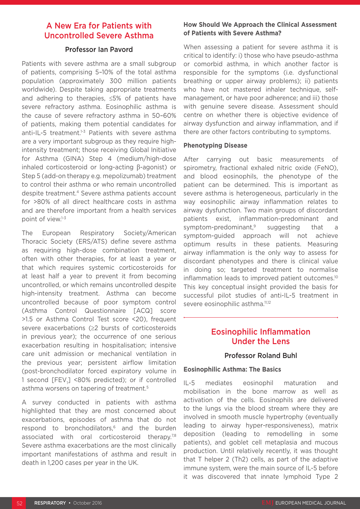# A New Era for Patients with Uncontrolled Severe Asthma

#### Professor Ian Pavord

Patients with severe asthma are a small subgroup of patients, comprising 5–10% of the total asthma population (approximately 300 million patients worldwide). Despite taking appropriate treatments and adhering to therapies, ≤5% of patients have severe refractory asthma. Eosinophilic asthma is the cause of severe refractory asthma in 50–60% of patients, making them potential candidates for anti-IL-5 treatment.<sup>1-3</sup> Patients with severe asthma are a very important subgroup as they require highintensity treatment; those receiving Global Initiative for Asthma (GINA) Step 4 (medium/high-dose inhaled corticosteroid or long-acting β-agonist) or Step 5 (add-on therapy e.g. mepolizumab) treatment to control their asthma or who remain uncontrolled despite treatment.4 Severe asthma patients account for >80% of all direct healthcare costs in asthma and are therefore important from a health services point of view.1-3

The European Respiratory Society/American Thoracic Society (ERS/ATS) define severe asthma as requiring high-dose combination treatment, often with other therapies, for at least a year or that which requires systemic corticosteroids for at least half a year to prevent it from becoming uncontrolled, or which remains uncontrolled despite high-intensity treatment. Asthma can become uncontrolled because of poor symptom control (Asthma Control Questionnaire [ACQ] score >1.5 or Asthma Control Test score <20), frequent severe exacerbations (≥2 bursts of corticosteroids in previous year); the occurrence of one serious exacerbation resulting in hospitalisation; intensive care unit admission or mechanical ventilation in the previous year; persistent airflow limitation (post-bronchodilator forced expiratory volume in 1 second [FEV<sub>1</sub>] <80% predicted); or if controlled asthma worsens on tapering of treatment.5

A survey conducted in patients with asthma highlighted that they are most concerned about exacerbations, episodes of asthma that do not respond to bronchodilators,<sup>6</sup> and the burden associated with oral corticosteroid therapy.<sup>7,8</sup> Severe asthma exacerbations are the most clinically important manifestations of asthma and result in death in 1,200 cases per year in the UK.

#### **How Should We Approach the Clinical Assessment of Patients with Severe Asthma?**

When assessing a patient for severe asthma it is critical to identify: i) those who have pseudo-asthma or comorbid asthma, in which another factor is responsible for the symptoms (i.e. dysfunctional breathing or upper airway problems); ii) patients who have not mastered inhaler technique, selfmanagement, or have poor adherence; and iii) those with genuine severe disease. Assessment should centre on whether there is objective evidence of airway dysfunction and airway inflammation, and if there are other factors contributing to symptoms.

#### **Phenotyping Disease**

After carrying out basic measurements of spirometry, fractional exhaled nitric oxide (FeNO), and blood eosinophils, the phenotype of the patient can be determined. This is important as severe asthma is heterogeneous, particularly in the way eosinophilic airway inflammation relates to airway dysfunction. Two main groups of discordant patients exist, inflammation-predominant and symptom-predominant,<sup>9</sup> suggesting that a symptom-guided approach will not achieve optimum results in these patients. Measuring airway inflammation is the only way to assess for discordant phenotypes and there is clinical value in doing so; targeted treatment to normalise inflammation leads to improved patient outcomes.10 This key conceptual insight provided the basis for successful pilot studies of anti-IL-5 treatment in severe eosinophilic asthma.<sup>11,12</sup>

# Eosinophilic Inflammation Under the Lens

#### Professor Roland Buhl

#### **Eosinophilic Asthma: The Basics**

IL-5 mediates eosinophil maturation and mobilisation in the bone marrow as well as activation of the cells. Eosinophils are delivered to the lungs via the blood stream where they are involved in smooth muscle hypertrophy (eventually leading to airway hyper-responsiveness), matrix deposition (leading to remodelling in some patients), and goblet cell metaplasia and mucous production. Until relatively recently, it was thought that T helper 2 (Th2) cells, as part of the adaptive immune system, were the main source of IL-5 before it was discovered that innate lymphoid Type 2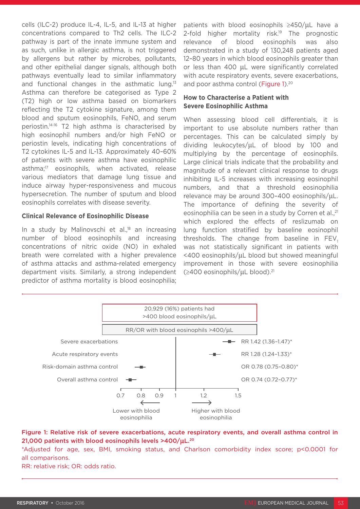cells (ILC-2) produce IL-4, IL-5, and IL-13 at higher concentrations compared to Th2 cells. The ILC-2 pathway is part of the innate immune system and as such, unlike in allergic asthma, is not triggered by allergens but rather by microbes, pollutants, and other epithelial danger signals, although both pathways eventually lead to similar inflammatory and functional changes in the asthmatic lung.13 Asthma can therefore be categorised as Type 2 (T2) high or low asthma based on biomarkers reflecting the T2 cytokine signature, among them blood and sputum eosinophils, FeNO, and serum periostin.14-16 T2 high asthma is characterised by high eosinophil numbers and/or high FeNO or periostin levels, indicating high concentrations of T2 cytokines IL-5 and IL-13. Approximately 40–60% of patients with severe asthma have eosinophilic asthma;<sup>17</sup> eosinophils, when activated, release various mediators that damage lung tissue and induce airway hyper-responsiveness and mucous hypersecretion. The number of sputum and blood eosinophils correlates with disease severity.

#### **Clinical Relevance of Eosinophilic Disease**

In a study by Malinovschi et al.,<sup>18</sup> an increasing number of blood eosinophils and increasing concentrations of nitric oxide (NO) in exhaled breath were correlated with a higher prevalence of asthma attacks and asthma-related emergency department visits. Similarly, a strong independent predictor of asthma mortality is blood eosinophilia;

patients with blood eosinophils ≥450/μL have a 2-fold higher mortality risk.<sup>19</sup> The prognostic relevance of blood eosinophils was also demonstrated in a study of 130,248 patients aged 12–80 years in which blood eosinophils greater than or less than 400 μL were significantly correlated with acute respiratory events, severe exacerbations, and poor asthma control (Figure 1).<sup>20</sup>

#### **How to Characterise a Patient with Severe Eosinophilic Asthma**

When assessing blood cell differentials, it is important to use absolute numbers rather than percentages. This can be calculated simply by dividing leukocytes/μL of blood by 100 and multiplying by the percentage of eosinophils. Large clinical trials indicate that the probability and magnitude of a relevant clinical response to drugs inhibiting IL-5 increases with increasing eosinophil numbers, and that a threshold eosinophilia relevance may be around 300–400 eosinophils/μL. The importance of defining the severity of eosinophilia can be seen in a study by Corren et al.,<sup>21</sup> which explored the effects of reslizumab on lung function stratified by baseline eosinophil thresholds. The change from baseline in FEV, was not statistically significant in patients with <400 eosinophils/μL blood but showed meaningful improvement in those with severe eosinophilia  $(\geq 400$  eosinophils/ $\mu$ L blood).<sup>21</sup>



#### Figure 1: Relative risk of severe exacerbations, acute respiratory events, and overall asthma control in 21,000 patients with blood eosinophils levels  $>400/\mu L^{20}$

\*Adjusted for age, sex, BMI, smoking status, and Charlson comorbidity index score; p<0.0001 for all comparisons.

RR: relative risk; OR: odds ratio.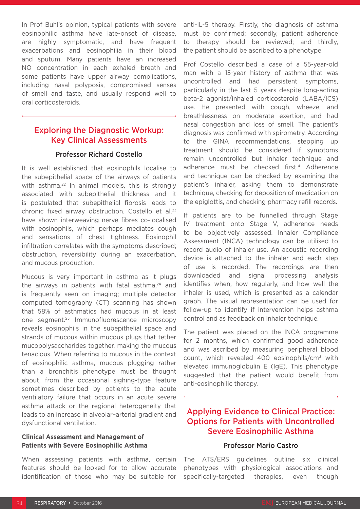In Prof Buhl's opinion, typical patients with severe eosinophilic asthma have late-onset of disease, are highly symptomatic, and have frequent exacerbations and eosinophilia in their blood and sputum. Many patients have an increased NO concentration in each exhaled breath and some patients have upper airway complications, including nasal polyposis, compromised senses of smell and taste, and usually respond well to oral corticosteroids.

# Exploring the Diagnostic Workup: Key Clinical Assessments

#### Professor Richard Costello

It is well established that eosinophils localise to the subepithelial space of the airways of patients with asthma.<sup>22</sup> In animal models, this is strongly associated with subepithelial thickness and it is postulated that subepithelial fibrosis leads to chronic fixed airway obstruction. Costello et al.23 have shown interweaving nerve fibres co-localised with eosinophils, which perhaps mediates cough and sensations of chest tightness. Eosinophil infiltration correlates with the symptoms described; obstruction, reversibility during an exacerbation, and mucous production.

Mucous is very important in asthma as it plugs the airways in patients with fatal asthma, $24$  and is frequently seen on imaging; multiple detector computed tomography (CT) scanning has shown that 58% of asthmatics had mucous in at least one segment.25 Immunofluorescence microscopy reveals eosinophils in the subepithelial space and strands of mucous within mucous plugs that tether mucopolysaccharides together, making the mucous tenacious. When referring to mucous in the context of eosinophilic asthma, mucous plugging rather than a bronchitis phenotype must be thought about, from the occasional sighing-type feature sometimes described by patients to the acute ventilatory failure that occurs in an acute severe asthma attack or the regional heterogeneity that leads to an increase in alveolar–arterial gradient and dysfunctional ventilation.

#### **Clinical Assessment and Management of Patients with Severe Eosinophilic Asthma**

When assessing patients with asthma, certain features should be looked for to allow accurate identification of those who may be suitable for anti-IL-5 therapy. Firstly, the diagnosis of asthma must be confirmed; secondly, patient adherence to therapy should be reviewed; and thirdly, the patient should be ascribed to a phenotype.

Prof Costello described a case of a 55-year-old man with a 15-year history of asthma that was uncontrolled and had persistent symptoms, particularly in the last 5 years despite long-acting beta-2 agonist/inhaled corticosteroid (LABA/ICS) use. He presented with cough, wheeze, and breathlessness on moderate exertion, and had nasal congestion and loss of smell. The patient's diagnosis was confirmed with spirometry. According to the GINA recommendations, stepping up treatment should be considered if symptoms remain uncontrolled but inhaler technique and adherence must be checked first.<sup>4</sup> Adherence and technique can be checked by examining the patient's inhaler, asking them to demonstrate technique, checking for deposition of medication on the epiglottis, and checking pharmacy refill records.

If patients are to be funnelled through Stage IV treatment onto Stage V, adherence needs to be objectively assessed. Inhaler Compliance Assessment (INCA) technology can be utilised to record audio of inhaler use. An acoustic recording device is attached to the inhaler and each step of use is recorded. The recordings are then downloaded and signal processing analysis identifies when, how regularly, and how well the inhaler is used, which is presented as a calendar graph. The visual representation can be used for follow-up to identify if intervention helps asthma control and as feedback on inhaler technique.

The patient was placed on the INCA programme for 2 months, which confirmed good adherence and was ascribed by measuring peripheral blood count, which revealed 400 eosinophils/cm3 with elevated immunoglobulin E (IgE). This phenotype suggested that the patient would benefit from anti-eosinophilic therapy.

# Applying Evidence to Clinical Practice: Options for Patients with Uncontrolled Severe Eosinophilic Asthma

#### Professor Mario Castro

The ATS/ERS guidelines outline six clinical phenotypes with physiological associations and specifically-targeted therapies, even though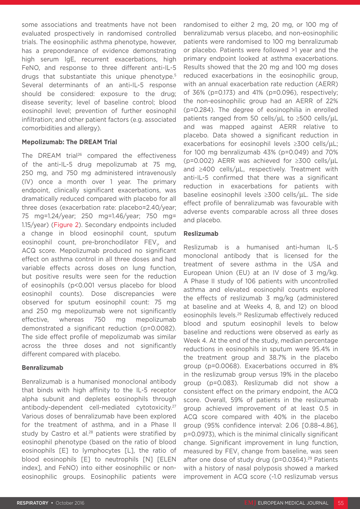some associations and treatments have not been evaluated prospectively in randomised controlled trials. The eosinophilic asthma phenotype, however, has a preponderance of evidence demonstrating high serum IgE, recurrent exacerbations, high FeNO, and response to three different anti-IL-5 drugs that substantiate this unique phenotype.<sup>5</sup> Several determinants of an anti-IL-5 response should be considered: exposure to the drug; disease severity; level of baseline control; blood eosinophil level; prevention of further eosinophil infiltration; and other patient factors (e.g. associated comorbidities and allergy).

#### **Mepolizumab: The DREAM Trial**

The DREAM trial<sup>26</sup> compared the effectiveness of the anti-IL-5 drug mepolizumab at 75 mg, 250 mg, and 750 mg administered intravenously (IV) once a month over 1 year. The primary endpoint, clinically significant exacerbations, was dramatically reduced compared with placebo for all three doses (exacerbation rate: placebo=2.40/year; 75 mg=1.24/year; 250 mg=1.46/year; 750 mg= 1.15/year) (Figure 2). Secondary endpoints included a change in blood eosinophil count, sputum eosinophil count, pre-bronchodilator FEV<sub>1</sub>, and ACQ score. Mepolizumab produced no significant effect on asthma control in all three doses and had variable effects across doses on lung function, but positive results were seen for the reduction of eosinophils (p<0.001 versus placebo for blood eosinophil counts). Dose discrepancies were observed for sputum eosinophil count: 75 mg and 250 mg mepolizumab were not significantly effective, whereas 750 mg mepolizumab demonstrated a significant reduction (p=0.0082). The side effect profile of mepolizumab was similar across the three doses and not significantly different compared with placebo.

#### **Benralizumab**

Benralizumab is a humanised monoclonal antibody that binds with high affinity to the IL-5 receptor alpha subunit and depletes eosinophils through antibody-dependent cell-mediated cytotoxicity.27 Various doses of benralizumab have been explored for the treatment of asthma, and in a Phase II study by Castro et al.<sup>28</sup> patients were stratified by eosinophil phenotype (based on the ratio of blood eosinophils [E] to lymphocytes [L], the ratio of blood eosinophils [E] to neutrophils [N] [ELEN index], and FeNO) into either eosinophilic or noneosinophilic groups. Eosinophilic patients were

randomised to either 2 mg, 20 mg, or 100 mg of benralizumab versus placebo, and non-eosinophilic patients were randomised to 100 mg benralizumab or placebo. Patients were followed >1 year and the primary endpoint looked at asthma exacerbations. Results showed that the 20 mg and 100 mg doses reduced exacerbations in the eosinophilic group, with an annual exacerbation rate reduction (AERR) of 36% (p=0.173) and 41% (p=0.096), respectively; the non-eosinophilic group had an AERR of 22% (p=0.284). The degree of eosinophilia in enrolled patients ranged from 50 cells/μL to ≥500 cells/μL and was mapped against AERR relative to placebo. Data showed a significant reduction in exacerbations for eosinophil levels ≥300 cells/μL; for 100 mg benralizumab 43% (p=0.049) and 70% (p=0.002) AERR was achieved for ≥300 cells/μL and ≥400 cells/μL, respectively. Treatment with anti-IL-5 confirmed that there was a significant reduction in exacerbations for patients with baseline eosinophil levels ≥300 cells/μL. The side effect profile of benralizumab was favourable with adverse events comparable across all three doses and placebo.

#### **Reslizumab**

Reslizumab is a humanised anti-human IL-5 monoclonal antibody that is licensed for the treatment of severe asthma in the USA and European Union (EU) at an IV dose of 3 mg/kg. A Phase II study of 106 patients with uncontrolled asthma and elevated eosinophil counts explored the effects of reslizumab 3 mg/kg (administered at baseline and at Weeks 4, 8, and 12) on blood eosinophils levels.29 Reslizumab effectively reduced blood and sputum eosinophil levels to below baseline and reductions were observed as early as Week 4. At the end of the study, median percentage reductions in eosinophils in sputum were 95.4% in the treatment group and 38.7% in the placebo group (p=0.0068). Exacerbations occurred in 8% in the reslizumab group versus 19% in the placebo group (p=0.083). Reslizumab did not show a consistent effect on the primary endpoint, the ACQ score. Overall, 59% of patients in the reslizumab group achieved improvement of at least 0.5 in ACQ score compared with 40% in the placebo group (95% confidence interval: 2.06 [0.88–4.86], p=0.0973), which is the minimal clinically significant change. Significant improvement in lung function, measured by  $\mathsf{FEV}_1$  change from baseline, was seen after one dose of study drug ( $p=0.0364$ ).<sup>29</sup> Patients with a history of nasal polyposis showed a marked improvement in ACQ score (-1.0 reslizumab versus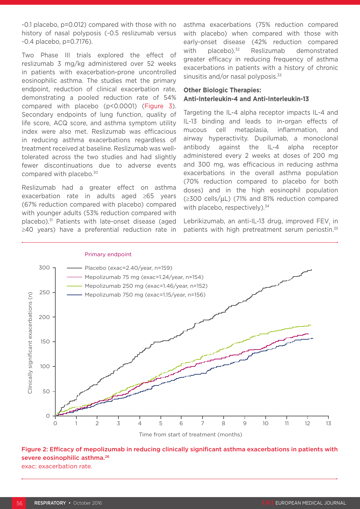-0.1 placebo, p=0.012) compared with those with no history of nasal polyposis (-0.5 reslizumab versus -0.4 placebo, p=0.7176).

Two Phase III trials explored the effect of reslizumab 3 mg/kg administered over 52 weeks in patients with exacerbation-prone uncontrolled eosinophilic asthma. The studies met the primary endpoint, reduction of clinical exacerbation rate, demonstrating a pooled reduction rate of 54% compared with placebo (p<0.0001) (Figure 3). Secondary endpoints of lung function, quality of life score, ACQ score, and asthma symptom utility index were also met. Reslizumab was efficacious in reducing asthma exacerbations regardless of treatment received at baseline. Reslizumab was welltolerated across the two studies and had slightly fewer discontinuations due to adverse events compared with placebo.<sup>30</sup>

Reslizumab had a greater effect on asthma exacerbation rate in adults aged ≥65 years (67% reduction compared with placebo) compared with younger adults (53% reduction compared with placebo).31 Patients with late-onset disease (aged ≥40 years) have a preferential reduction rate in asthma exacerbations (75% reduction compared with placebo) when compared with those with early-onset disease (42% reduction compared with placebo).<sup>32</sup> Reslizumab demonstrated greater efficacy in reducing frequency of asthma exacerbations in patients with a history of chronic sinusitis and/or nasal polyposis.<sup>33</sup>

#### **Other Biologic Therapies: Anti-Interleukin-4 and Anti-Interleukin-13**

Targeting the IL-4 alpha receptor impacts IL-4 and IL-13 binding and leads to in-organ effects of mucous cell metaplasia, inflammation, and airway hyperactivity. Dupilumab, a monoclonal antibody against the IL-4 alpha receptor administered every 2 weeks at doses of 200 mg and 300 mg, was efficacious in reducing asthma exacerbations in the overall asthma population (70% reduction compared to placebo for both doses) and in the high eosinophil population (≥300 cells/μL) (71% and 81% reduction compared with placebo, respectively).<sup>34</sup>

Lebrikizumab, an anti-IL-13 drug, improved FEV<sub>1</sub> in patients with high pretreatment serum periostin.<sup>35</sup>



Primary endpoint

Time from start of treatment (months)

# Figure 2: Efficacy of mepolizumab in reducing clinically significant asthma exacerbations in patients with severe eosinophilic asthma.<sup>26</sup>

exac: exacerbation rate.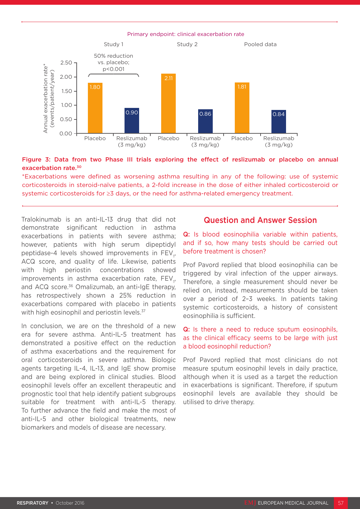Primary endpoint: clinical exacerbation rate



#### Figure 3: Data from two Phase III trials exploring the effect of reslizumab or placebo on annual exacerbation rate.30

\*Exacerbations were defined as worsening asthma resulting in any of the following: use of systemic corticosteroids in steroid-naïve patients, a 2-fold increase in the dose of either inhaled corticosteroid or systemic corticosteroids for ≥3 days, or the need for asthma-related emergency treatment.

Tralokinumab is an anti-IL-13 drug that did not demonstrate significant reduction in asthma exacerbations in patients with severe asthma; however, patients with high serum dipeptidyl peptidase-4 levels showed improvements in FEV<sub>1</sub>, ACQ score, and quality of life. Likewise, patients with high periostin concentrations showed improvements in asthma exacerbation rate,  $\mathsf{FEV}_{\mathfrak{p}}$ and ACQ score.<sup>36</sup> Omalizumab, an anti-IgE therapy, has retrospectively shown a 25% reduction in exacerbations compared with placebo in patients with high eosinophil and periostin levels.<sup>37</sup>

In conclusion, we are on the threshold of a new era for severe asthma. Anti-IL-5 treatment has demonstrated a positive effect on the reduction of asthma exacerbations and the requirement for oral corticosteroids in severe asthma. Biologic agents targeting IL-4, IL-13, and IgE show promise and are being explored in clinical studies. Blood eosinophil levels offer an excellent therapeutic and prognostic tool that help identify patient subgroups suitable for treatment with anti-IL-5 therapy. To further advance the field and make the most of anti-IL-5 and other biological treatments, new biomarkers and models of disease are necessary.

#### Question and Answer Session

Q: Is blood eosinophilia variable within patients, and if so, how many tests should be carried out before treatment is chosen?

Prof Pavord replied that blood eosinophilia can be triggered by viral infection of the upper airways. Therefore, a single measurement should never be relied on, instead, measurements should be taken over a period of 2–3 weeks. In patients taking systemic corticosteroids, a history of consistent eosinophilia is sufficient.

#### Q: Is there a need to reduce sputum eosinophils, as the clinical efficacy seems to be large with just a blood eosinophil reduction?

Prof Pavord replied that most clinicians do not measure sputum eosinophil levels in daily practice, although when it is used as a target the reduction in exacerbations is significant. Therefore, if sputum eosinophil levels are available they should be utilised to drive therapy.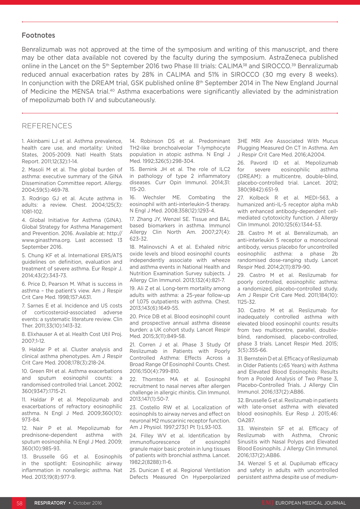#### Footnotes

Benralizumab was not approved at the time of the symposium and writing of this manuscript, and there may be other data available not covered by the faculty during the symposium. AstraZeneca published online in the Lancet on the 5<sup>th</sup> September 2016 two Phase III trials: CALIMA<sup>38</sup> and SIROCCO.<sup>39</sup> Benralizumab reduced annual exacerbation rates by 28% in CALIMA and 51% in SIROCCO (30 mg every 8 weeks). In conjunction with the DREAM trial, GSK published online 8<sup>th</sup> September 2014 in The New England Journal of Medicine the MENSA trial.40 Asthma exacerbations were significantly alleviated by the administration of mepolizumab both IV and subcutaneously.

#### **REFERENCES**

1. Akinbami LJ et al. Asthma prevalence, health care use, and mortality: United States, 2005-2009. Natl Health Stats Report. 2011;12(32):1-14.

2. Masoli M et al. The global burden of asthma: executive summary of the GINA Dissemination Committee report. Allergy. 2004;59(5):469-78.

3. Rodrigo GJ et al. Acute asthma in adults: a review. Chest. 2004;125(3): 1081-102.

4. Global Initiative for Asthma (GINA). Global Strategy for Asthma Management and Prevention. 2016. Available at: http:// www.ginasthma.org. Last accessed: 13 September 2016.

5. Chung KF et al. International ERS/ATS guidelines on definition, evaluation and treatment of severe asthma. Eur Respir J. 2014;43(2):343-73.

6. Price D, Pearson M. What is success in asthma – the patient's view. Am J Respir Crit Care Med. 1998;157:A631.

7. Sarnes E et al. Incidence and US costs of corticosteroid-associated adverse events: a systematic literature review. Clin Ther. 2011;33(10):1413-32.

8. Elixhauser A et al. Health Cost Util Proj. 2007;1-12.

9. Haldar P et al. Cluster analysis and clinical asthma phenotypes. Am J Respir Crit Care Med. 2008;178(3):218-24.

10. Green RH et al. Asthma exacerbations and sputum eosinophil counts: a randomised controlled trial. Lancet. 2002; 360(9347):1715-21.

11. Haldar P et al. Mepolizumab and exacerbations of refractory eosinophilic asthma. N Engl J Med. 2009;360(10): 973-84.

12. Nair P et al. Mepolizumab for prednisone-dependent asthma with sputum eosinophilia. N Engl J Med. 2009; 360(10):985-93.

13. Brusselle GG et al. Eosinophils in the spotlight: Eosinophilic airway inflammation in nonallergic asthma. Nat Med. 2013;19(8):977-9.

14. Robinson DS et al. Predominant TH2-like bronchoalveolar T-lymphocyte population in atopic asthma. N Engl J Med. 1992;326(5):298-304.

15. Bernink JH et al. The role of ILC2 in pathology of type 2 inflammatory diseases. Curr Opin Immunol. 2014;31: 115-20.

16. Wechsler ME. Combating the eosinophil with anti-interleukin-5 therapy. N Engl J Med. 2008;358(12):1293-4.

17. Zhang JY, Wenzel SE. Tissue and BAL based biomarkers in asthma. Immunol Allergy Clin North Am. 2007;27(4): 623-32.

18. Malinovschi A et al. Exhaled nitric oxide levels and blood eosinophil counts independently associate with wheeze and asthma events in National Health and Nutrition Examination Survey subjects. J Allergy Clin Immunol. 2013;132(4):821-7.

19. Ali Z et al. Long-term mortality among adults with asthma: a 25-year follow-up of 1,075 outpatients with asthma. Chest. 2013;143(6):1649-55.

20. Price DB et al. Blood eosinophil count and prospective annual asthma disease burden: a UK cohort study. Lancet Respir Med. 2015;3(11):849-58.

21. Corren J et al. Phase 3 Study Of Reslizumab in Patients with Poorly Controlled Asthma: Effects Across a Broad Range Of Eosinophil Counts. Chest. 2016;150(4):799-810.

22. Thornton MA et al. Eosinophil recruitment to nasal nerves after allergen challenge in allergic rhinitis. Clin Immunol. 2013;147(1):50-7.

23. Costello RW et al. Localization of eosinophils to airway nerves and effect on neuronal M2 muscarinic receptor function. Am J Physiol. 1997;273(1 Pt 1):L93-103.

24. Filley WV et al. Identification by immunofluorescence of eosinophil granule major basic protein in lung tissues of patients with bronchial asthma. Lancet. 1982;2(8288):11-6.

25. Dunican E et al. Regional Ventilation Defects Measured On Hyperpolarized

3HE MRI Are Associated With Mucus Plugging Measured On CT In Asthma. Am J Respir Crit Care Med. 2016;A2004.

26. Pavord ID et al. Mepolizumab for severe eosinophilic asthma (DREAM): a multicentre, double-blind, placebo-controlled trial. Lancet. 2012; 380(9842):651-9.

27. Kolbeck R et al. MEDI-563, a humanized anti-IL-5 receptor alpha mAb with enhanced antibody-dependent cellmediated cytotoxicity function. J Allergy Clin Immunol. 2010;125(6):1344-53.

28. Castro M et al. Benralizumab, an anti-interleukin 5 receptor  $α$  monoclonal antibody, versus placebo for uncontrolled eosinophilic asthma: a phase 2b randomised dose-ranging study. Lancet Respir Med. 2014;2(11):879-90.

29. Castro M et al. Reslizumab for poorly controlled, eosinophilic asthma: a randomized, placebo-controlled study. Am J Respir Crit Care Med. 2011;184(10): 1125-32.

30. Castro M et al. Reslizumab for inadequately controlled asthma with elevated blood eosinophil counts: results from two multicentre, parallel, doubleblind, randomised, placebo-controlled, phase 3 trials. Lancet Respir Med. 2015; 3(5):355-66.

31. Bernstein D et al. Efficacy of Reslizumab in Older Patients (≥65 Years) with Asthma and Elevated Blood Eosinophils: Results from a Pooled Analysis of Two Phase 3, Placebo-Controlled Trials. J Allergy Clin Immunol. 2016;137(2):AB86.

32. Brusselle G et al. Reslizumab in patients with late-onset asthma with elevated blood eosinophils. Eur Resp J. 2015;46: OA287.

33. Weinstein SF et al. Efficacy of Reslizumab with Asthma, Chronic Sinusitis with Nasal Polyps and Elevated Blood Eosinophils. J Allergy Clin Immunol. 2016;137(2):AB86.

34. Wenzel S et al. Dupilumab efficacy and safety in adults with uncontrolled persistent asthma despite use of medium